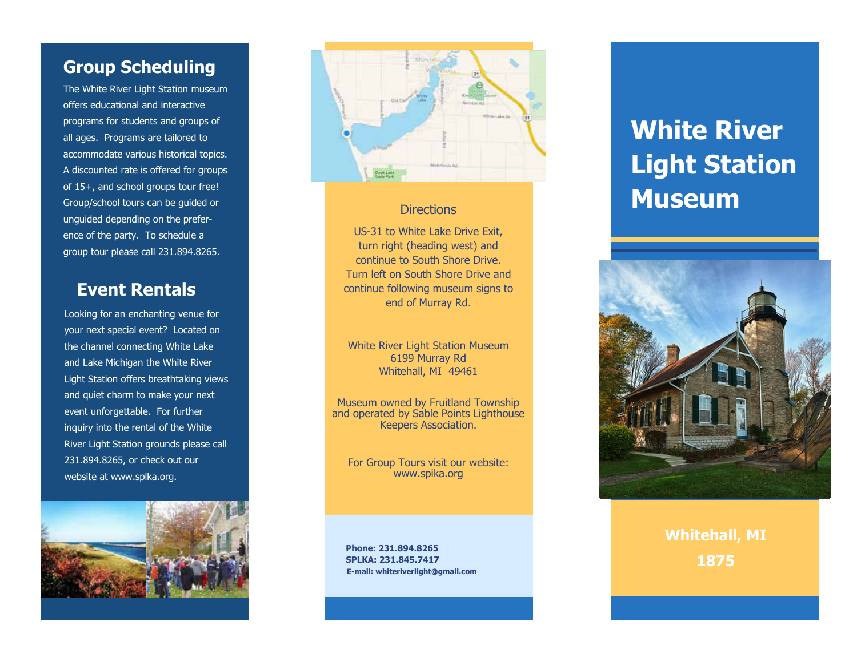# **Group Scheduling Group Scheduling Group Scheduling**

The White River Light Station museum The White River Light Station museum The White River Light Station museum offers educational and interactive offers educational and interactive offers educational and interactive programs for students and groups of programs for students and groups of programs for students and groups of all ages. Programs are tailored to all ages. Programs are tailored to all ages. Programs are tailored to accommodate various historical topics. accommodate various historical topics. accommodate various historical topics. A discounted rate is offered for groups A discounted rate is offered for groups A discounted rate is offered for groups of 15+, and school groups tour free! of 15+, and school groups tour free! of 15+, and school groups tour free! Group/school tours can be guided or Group/school tours can be guided or Group/school tours can be guided or unguided depending on the prefer-unguided depending on the prefer-unguided depending on the preference of the party. To schedule a ence of the party. To schedule a ence of the party. To schedule a group tour please call 231.894.8265. group tour please call 231.894.8265. group tour please call 231.894.8265.

# **Event Rentals Event Rentals Event Rentals**

Looking for an enchanting venue for Looking for an enchanting venue for Looking for an enchanting venue for your next special event? Located on your next special event? Located on your next special event? Located on the channel connecting White Lake the channel connecting White Lake the channel connecting White Lake and Lake Michigan the White River and Lake Michigan the White River and Lake Michigan the White River Light Station offers breathtaking views Light Station offers breathtaking views Light Station offers breathtaking views and quiet charm to make your next and quiet charm to make your next and quiet charm to make your next event unforgettable. For further event unforgettable. For further event unforgettable. For further inquiry into the rental of the White inquiry into the rental of the White inquiry into the rental of the White River Light Station grounds please call River Light Station grounds please call River Light Station grounds please call 231.894.8265, or check out our 231.894.8265, or check out our 231.894.8265, or check out our website at www.splka.org. website at www.splka.org. website at www.splka.org.





### Directions Directions Directions

US-31 to White Lake Drive Exit, US-31 to White Lake Drive Exit, US-31 to White Lake Drive Exit, turn right (heading west) and turn right (heading west) and turn right (heading west) and continue to South Shore Drive. continue to South Shore Drive. continue to South Shore Drive. Turn left on South Shore Drive and Turn left on South Shore Drive and Turn left on South Shore Drive and continue following museum signs to continue following museum signs to continue following museum signs to end of Murray Rd.

White River Light Station Museum White River Light Station Museum White River Light Station Museum 6199 Murray Rd 6199 Murray Rd 6199 Murray Rd Whitehall, MI 49461 Whitehall, MI 49461 Whitehall, MI 49461

Museum owned by Fruitland Township Museum owned by Fruitland Township Museum owned by Fruitland Township and operated by Sable Points Lighthouse and operated by Sable Points Lighthouse and operated by Sable Points Lighthouse Keepers Association. Keepers Association. Keepers Association.

For Group Tours visit our website: For Group Tours visit our website: For Group Tours visit our website: www.spika.org www.spika.org www.spika.org

**Phone: 231.894.8265 Phone: 231.894.8265 Phone: 231.894.8265 SPLKA: 231.845.7417 SPLKA: 231.845.7417 SPLKA: 231.845.7417 E-mail: whiteriverlight@gmail.com E-mail: whiteriverlight@gmail.com E-mail: whiteriverlight@gmail.com**

# **White River White River White River Light Station Light Station Light Station Museum Museum Museum**



**Whitehall, MI Whitehall, MI Whitehall, MI 1875 1875 1875**